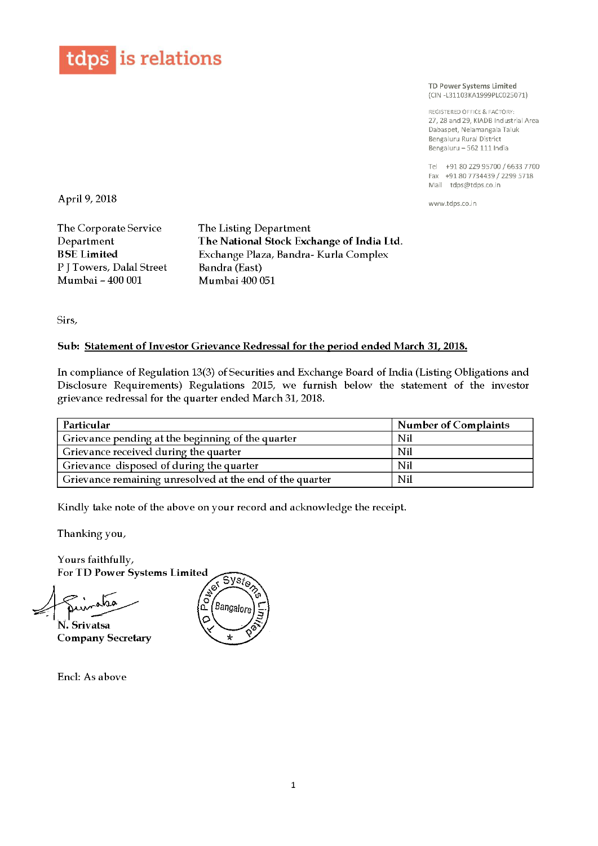

TD Power Systems Limited (CIN 7L31103KA1999PLC025071)

REGISTERED OFFICE & FACTO RV 27, 28 and 29, KIADB Industrial Area Dabaspet, Nelamangala Taluk Bengaluru Rural District Bengaluru – 562 111 India

Tel +91 <sup>80</sup> <sup>229</sup> <sup>95700</sup> / <sup>6633</sup> <sup>7700</sup> Fax +91 <sup>80</sup> <sup>7734439</sup> / 2299 5718 Mail tdps@tdps.co.in

www.tdps.co.in

April 9/ 2018

The Corporate Service The Listing Department<br>
Department The National Stock Exc P J Towers, Dalal Street Mumbai —

Department The National Stock Exchange of India Ltd.<br>BSE Limited Exchange Plaza, Bandra- Kurla Complex Exchange Plaza, Bandra- Kurla Complex<br>Bandra (East) Mumbai 400 051

Sirs,

## Sub: Statement of Investor Grievance Redressal for the period ended March 31, 2018.

In compliance of Regulation 13(3) of Securities and Exchange Board of India (Listing Obligations and Disclosure Requirements) Regulations 2015, we furnish below the statement of the investor grievance redressal for the quarter ended March 31, 2018.

| Particular                                               | <b>Number of Complaints</b> |
|----------------------------------------------------------|-----------------------------|
| Grievance pending at the beginning of the quarter        | Nil                         |
| Grievance received during the quarter                    | Nil                         |
| Grievance disposed of during the quarter                 | Nil                         |
| Grievance remaining unresolved at the end of the quarter | Nil                         |

Kindly take note of the above on your record and acknowledge the receipt.

Thanking you,

Yours faithfully,

For TD Power Systems Limited

N. Srivatsa Company Secretary



Encl: As above